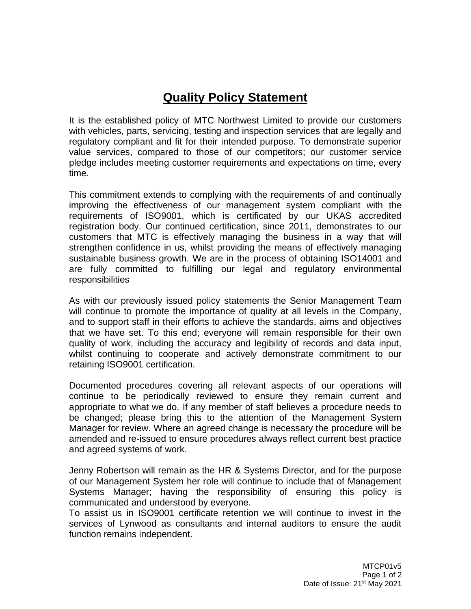## **Quality Policy Statement**

It is the established policy of MTC Northwest Limited to provide our customers with vehicles, parts, servicing, testing and inspection services that are legally and regulatory compliant and fit for their intended purpose. To demonstrate superior value services, compared to those of our competitors; our customer service pledge includes meeting customer requirements and expectations on time, every time.

This commitment extends to complying with the requirements of and continually improving the effectiveness of our management system compliant with the requirements of ISO9001, which is certificated by our UKAS accredited registration body. Our continued certification, since 2011, demonstrates to our customers that MTC is effectively managing the business in a way that will strengthen confidence in us, whilst providing the means of effectively managing sustainable business growth. We are in the process of obtaining ISO14001 and are fully committed to fulfilling our legal and regulatory environmental responsibilities

As with our previously issued policy statements the Senior Management Team will continue to promote the importance of quality at all levels in the Company, and to support staff in their efforts to achieve the standards, aims and objectives that we have set. To this end; everyone will remain responsible for their own quality of work, including the accuracy and legibility of records and data input, whilst continuing to cooperate and actively demonstrate commitment to our retaining ISO9001 certification.

Documented procedures covering all relevant aspects of our operations will continue to be periodically reviewed to ensure they remain current and appropriate to what we do. If any member of staff believes a procedure needs to be changed; please bring this to the attention of the Management System Manager for review. Where an agreed change is necessary the procedure will be amended and re-issued to ensure procedures always reflect current best practice and agreed systems of work.

Jenny Robertson will remain as the HR & Systems Director, and for the purpose of our Management System her role will continue to include that of Management Systems Manager; having the responsibility of ensuring this policy is communicated and understood by everyone.

To assist us in ISO9001 certificate retention we will continue to invest in the services of Lynwood as consultants and internal auditors to ensure the audit function remains independent.